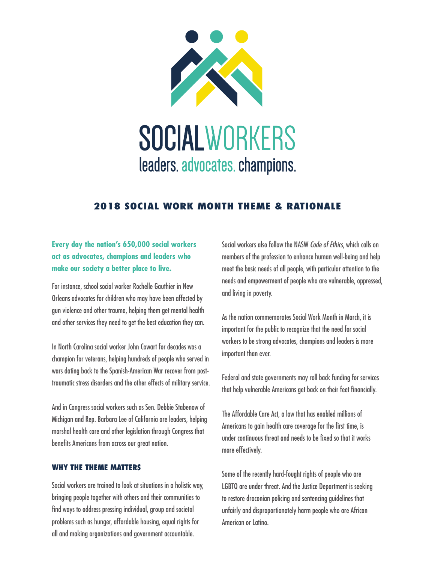

## **2018 SOCIAL WORK MONTH THEME & RATIONALE**

## **Every day the nation's 650,000 social workers act as advocates, champions and leaders who make our society a better place to live.**

For instance, school social worker Rochelle Gauthier in New Orleans advocates for children who may have been affected by gun violence and other trauma, helping them get mental health and other services they need to get the best education they can.

In North Carolina social worker John Cowart for decades was a champion for veterans, helping hundreds of people who served in wars dating back to the Spanish-American War recover from posttraumatic stress disorders and the other effects of military service.

And in Congress social workers such as Sen. Debbie Stabenow of Michigan and Rep. Barbara Lee of California are leaders, helping marshal health care and other legislation through Congress that benefits Americans from across our great nation.

## **WHY THE THEME MATTERS**

Social workers are trained to look at situations in a holistic way, bringing people together with others and their communities to find ways to address pressing individual, group and societal problems such as hunger, affordable housing, equal rights for all and making organizations and government accountable.

Social workers also follow the NASW *Code of Ethics*, which calls on members of the profession to enhance human well-being and help meet the basic needs of all people, with particular attention to the needs and empowerment of people who are vulnerable, oppressed, and living in poverty.

As the nation commemorates Social Work Month in March, it is important for the public to recognize that the need for social workers to be strong advocates, champions and leaders is more important than ever.

Federal and state governments may roll back funding for services that help vulnerable Americans get back on their feet financially.

The Affordable Care Act, a law that has enabled millions of Americans to gain health care coverage for the first time, is under continuous threat and needs to be fixed so that it works more effectively.

Some of the recently hard-fought rights of people who are LGBTQ are under threat. And the Justice Department is seeking to restore draconian policing and sentencing guidelines that unfairly and disproportionately harm people who are African American or Latino.